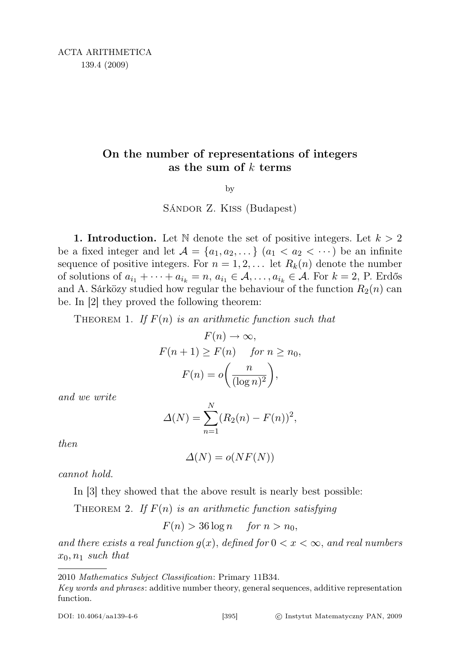## On the number of representations of integers as the sum of  $k$  terms

by

Sándor Z. Kiss (Budapest)

1. Introduction. Let N denote the set of positive integers. Let  $k > 2$ be a fixed integer and let  $\mathcal{A} = \{a_1, a_2, \dots\}$   $(a_1 < a_2 < \dots)$  be an infinite sequence of positive integers. For  $n = 1, 2, \ldots$  let  $R_k(n)$  denote the number of solutions of  $a_{i_1} + \cdots + a_{i_k} = n, a_{i_1} \in \mathcal{A}, \ldots, a_{i_k} \in \mathcal{A}$ . For  $k = 2$ , P. Erdős and A. Sárközy studied how regular the behaviour of the function  $R_2(n)$  can be. In [2] they proved the following theorem:

THEOREM 1. If  $F(n)$  is an arithmetic function such that

$$
F(n) \to \infty,
$$
  
\n
$$
F(n+1) \ge F(n) \quad \text{for } n \ge n_0,
$$
  
\n
$$
F(n) = o\left(\frac{n}{(\log n)^2}\right),
$$

and we write

$$
\Delta(N) = \sum_{n=1}^{N} (R_2(n) - F(n))^2,
$$

then

$$
\Delta(N) = o(NF(N))
$$

cannot hold.

In [3] they showed that the above result is nearly best possible:

THEOREM 2. If  $F(n)$  is an arithmetic function satisfying

 $F(n) > 36 \log n$  for  $n > n_0$ ,

and there exists a real function  $g(x)$ , defined for  $0 < x < \infty$ , and real numbers  $x_0, n_1$  such that

<sup>2010</sup> Mathematics Subject Classification: Primary 11B34.

Key words and phrases: additive number theory, general sequences, additive representation function.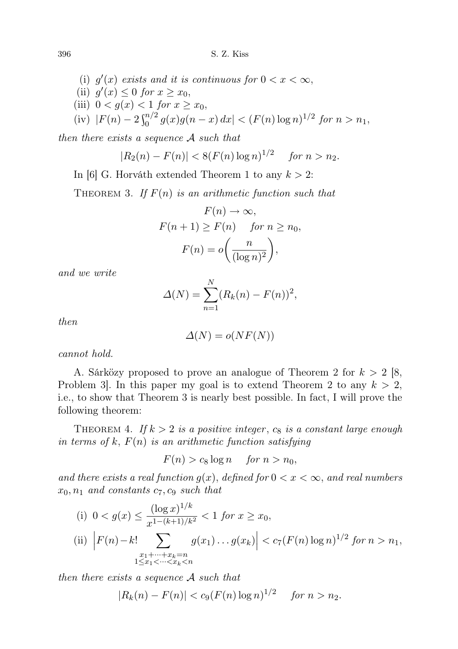- (i)  $g'(x)$  exists and it is continuous for  $0 < x < \infty$ ,
- (ii)  $g'(x) \leq 0$  for  $x \geq x_0$ ,
- (iii)  $0 < g(x) < 1$  for  $x \ge x_0$ ,

(iv) 
$$
|F(n) - 2\int_0^{n/2} g(x)g(n-x) dx| < (F(n) \log n)^{1/2}
$$
 for  $n > n_1$ ,

then there exists a sequence A such that

$$
|R_2(n) - F(n)| < 8(F(n)\log n)^{1/2} \quad \text{for } n > n_2.
$$

In [6] G. Horváth extended Theorem 1 to any  $k > 2$ :

THEOREM 3. If  $F(n)$  is an arithmetic function such that

$$
F(n) \to \infty,
$$
  
\n
$$
F(n+1) \ge F(n) \quad \text{for } n \ge n_0,
$$
  
\n
$$
F(n) = o\left(\frac{n}{(\log n)^2}\right),
$$

and we write

$$
\Delta(N) = \sum_{n=1}^{N} (R_k(n) - F(n))^2,
$$

then

$$
\Delta(N) = o(NF(N))
$$

cannot hold.

A. Sárközy proposed to prove an analogue of Theorem 2 for  $k > 2$  [8, Problem 3. In this paper my goal is to extend Theorem 2 to any  $k > 2$ , i.e., to show that Theorem 3 is nearly best possible. In fact, I will prove the following theorem:

THEOREM 4. If  $k > 2$  is a positive integer,  $c_8$  is a constant large enough in terms of k,  $F(n)$  is an arithmetic function satisfying

 $F(n) > c_8 \log n$  for  $n > n_0$ ,

and there exists a real function  $g(x)$ , defined for  $0 < x < \infty$ , and real numbers  $x_0, n_1$  and constants  $c_7, c_9$  such that

(i) 
$$
0 < g(x) \le \frac{(\log x)^{1/k}}{x^{1-(k+1)/k^2}} < 1
$$
 for  $x \ge x_0$ ,  
\n(ii)  $|F(n)-k! \sum_{\substack{x_1+\dots+x_k=n\\1\le x_1<\dots for  $n > n_1$ ,$ 

then there exists a sequence A such that

$$
|R_k(n) - F(n)| < c_9(F(n)\log n)^{1/2} \quad \text{for } n > n_2.
$$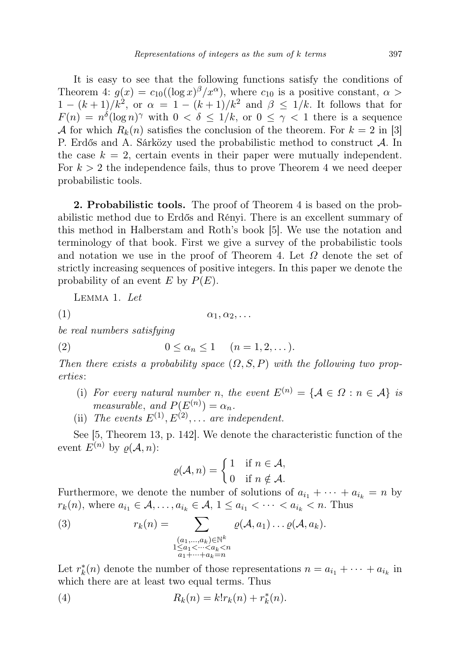It is easy to see that the following functions satisfy the conditions of Theorem 4:  $g(x) = c_{10}((\log x)^{\beta}/x^{\alpha})$ , where  $c_{10}$  is a positive constant,  $\alpha >$  $1-(k+1)/k^2$ , or  $\alpha = 1-(k+1)/k^2$  and  $\beta \leq 1/k$ . It follows that for  $F(n) = n^{\delta} (\log n)^{\gamma}$  with  $0 < \delta \leq 1/k$ , or  $0 \leq \gamma < 1$  there is a sequence A for which  $R_k(n)$  satisfies the conclusion of the theorem. For  $k = 2$  in [3] P. Erdős and A. Sárközy used the probabilistic method to construct  $\mathcal{A}$ . In the case  $k = 2$ , certain events in their paper were mutually independent. For  $k > 2$  the independence fails, thus to prove Theorem 4 we need deeper probabilistic tools.

2. Probabilistic tools. The proof of Theorem 4 is based on the probabilistic method due to Erdős and Rényi. There is an excellent summary of this method in Halberstam and Roth's book [5]. We use the notation and terminology of that book. First we give a survey of the probabilistic tools and notation we use in the proof of Theorem 4. Let  $\Omega$  denote the set of strictly increasing sequences of positive integers. In this paper we denote the probability of an event E by  $P(E)$ .

Lemma 1. Let

(1)  $\alpha_1, \alpha_2, \ldots$ 

be real numbers satisfying

$$
(2) \qquad \qquad 0 \leq \alpha_n \leq 1 \qquad (n = 1, 2, \dots).
$$

Then there exists a probability space  $(\Omega, S, P)$  with the following two properties:

- (i) For every natural number n, the event  $E^{(n)} = \{A \in \Omega : n \in A\}$  is measurable, and  $P(E^{(n)}) = \alpha_n$ .
- (ii) The events  $E^{(1)}, E^{(2)}, \ldots$  are independent.

See [5, Theorem 13, p. 142]. We denote the characteristic function of the event  $E^{(n)}$  by  $\rho(\mathcal{A}, n)$ :

$$
\varrho(\mathcal{A}, n) = \begin{cases} 1 & \text{if } n \in \mathcal{A}, \\ 0 & \text{if } n \notin \mathcal{A}. \end{cases}
$$

Furthermore, we denote the number of solutions of  $a_{i_1} + \cdots + a_{i_k} = n$  by  $r_k(n)$ , where  $a_{i_1} \in \mathcal{A}, \ldots, a_{i_k} \in \mathcal{A}, 1 \leq a_{i_1} < \cdots < a_{i_k} < n$ . Thus

(3) 
$$
r_k(n) = \sum_{\substack{(a_1,\ldots,a_k)\in\mathbb{N}^k\\1\leq a_1<\cdots
$$

Let  $r_k^*(n)$  denote the number of those representations  $n = a_{i_1} + \cdots + a_{i_k}$  in which there are at least two equal terms. Thus

(4) 
$$
R_k(n) = k! r_k(n) + r_k^*(n).
$$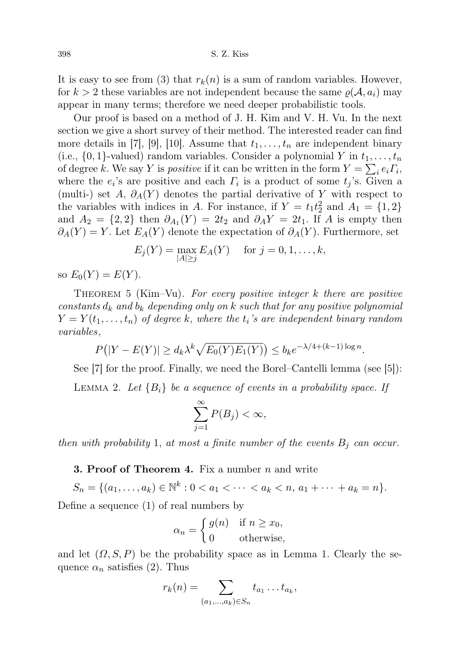It is easy to see from (3) that  $r_k(n)$  is a sum of random variables. However, for  $k > 2$  these variables are not independent because the same  $\varrho(\mathcal{A}, a_i)$  may appear in many terms; therefore we need deeper probabilistic tools.

Our proof is based on a method of J. H. Kim and V. H. Vu. In the next section we give a short survey of their method. The interested reader can find more details in [7], [9], [10]. Assume that  $t_1, \ldots, t_n$  are independent binary (i.e.,  $\{0,1\}$ -valued) random variables. Consider a polynomial Y in  $t_1, \ldots, t_n$ of degree k. We say Y is *positive* if it can be written in the form  $Y = \sum_i e_i \Gamma_i$ , where the  $e_i$ 's are positive and each  $\Gamma_i$  is a product of some  $t_j$ 's. Given a (multi-) set A,  $\partial_A(Y)$  denotes the partial derivative of Y with respect to the variables with indices in A. For instance, if  $Y = t_1 t_2^2$  and  $A_1 = \{1, 2\}$ and  $A_2 = \{2, 2\}$  then  $\partial_{A_1}(Y) = 2t_2$  and  $\partial_A Y = 2t_1$ . If A is empty then  $∂<sub>A</sub>(Y) = Y$ . Let  $E<sub>A</sub>(Y)$  denote the expectation of  $∂<sub>A</sub>(Y)$ . Furthermore, set

$$
E_j(Y) = \max_{|A| \ge j} E_A(Y) \quad \text{ for } j = 0, 1, \dots, k,
$$

so  $E_0(Y) = E(Y)$ .

THEOREM 5 (Kim–Vu). For every positive integer k there are positive constants  $d_k$  and  $b_k$  depending only on k such that for any positive polynomial  $Y = Y(t_1, \ldots, t_n)$  of degree k, where the  $t_i$ 's are independent binary random variables,

$$
P(|Y - E(Y)| \ge d_k \lambda^k \sqrt{E_0(Y)E_1(Y)}) \le b_k e^{-\lambda/4 + (k-1)\log n}.
$$

See [7] for the proof. Finally, we need the Borel–Cantelli lemma (see [5]):

LEMMA 2. Let  ${B_i}$  be a sequence of events in a probability space. If

$$
\sum_{j=1}^{\infty} P(B_j) < \infty
$$

then with probability 1, at most a finite number of the events  $B_j$  can occur.

**3. Proof of Theorem 4.** Fix a number  $n$  and write

 $S_n = \{(a_1, \ldots, a_k) \in \mathbb{N}^k : 0 < a_1 < \cdots < a_k < n, a_1 + \cdots + a_k = n\}.$ 

Define a sequence (1) of real numbers by

$$
\alpha_n = \begin{cases} g(n) & \text{if } n \ge x_0, \\ 0 & \text{otherwise,} \end{cases}
$$

and let  $(\Omega, S, P)$  be the probability space as in Lemma 1. Clearly the sequence  $\alpha_n$  satisfies (2). Thus

$$
r_k(n) = \sum_{(a_1,\ldots,a_k)\in S_n} t_{a_1}\ldots t_{a_k},
$$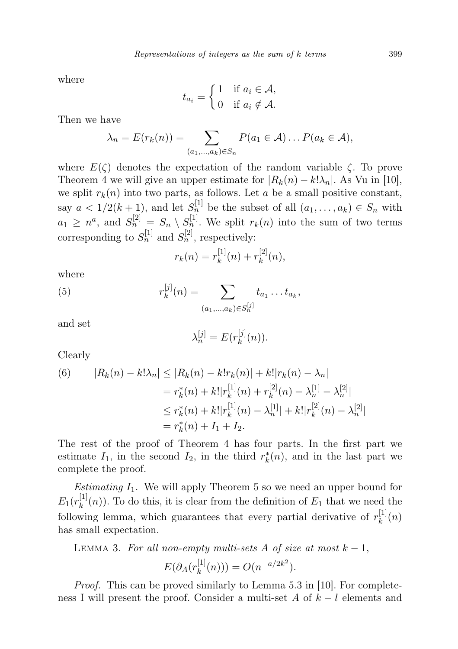where

$$
t_{a_i} = \begin{cases} 1 & \text{if } a_i \in \mathcal{A}, \\ 0 & \text{if } a_i \notin \mathcal{A}. \end{cases}
$$

Then we have

$$
\lambda_n = E(r_k(n)) = \sum_{(a_1,\ldots,a_k)\in S_n} P(a_1 \in \mathcal{A}) \ldots P(a_k \in \mathcal{A}),
$$

where  $E(\zeta)$  denotes the expectation of the random variable  $\zeta$ . To prove Theorem 4 we will give an upper estimate for  $|R_k(n) - k! \lambda_n|$ . As Vu in [10], we split  $r_k(n)$  into two parts, as follows. Let a be a small positive constant, say  $a < 1/2(k+1)$ , and let  $S_n^{[1]}$  be the subset of all  $(a_1, \ldots, a_k) \in S_n$  with  $a_1 \geq n^a$ , and  $S_n^{[2]} = S_n \setminus S_n^{[1]}$ . We split  $r_k(n)$  into the sum of two terms corresponding to  $S_n^{[1]}$  and  $S_n^{[2]}$ , respectively:

$$
r_k(n) = r_k^{[1]}(n) + r_k^{[2]}(n),
$$

where

(5) 
$$
r_k^{[j]}(n) = \sum_{(a_1,\ldots,a_k)\in S_n^{[j]}} t_{a_1}\ldots t_{a_k},
$$

and set

$$
\lambda_n^{[j]} = E(r_k^{[j]}(n)).
$$

Clearly

(6) 
$$
|R_k(n) - k! \lambda_n| \le |R_k(n) - k! r_k(n)| + k! |r_k(n) - \lambda_n|
$$
  

$$
= r_k^*(n) + k! |r_k^{[1]}(n) + r_k^{[2]}(n) - \lambda_n^{[1]} - \lambda_n^{[2]}|
$$
  

$$
\le r_k^*(n) + k! |r_k^{[1]}(n) - \lambda_n^{[1]}| + k! |r_k^{[2]}(n) - \lambda_n^{[2]}|
$$
  

$$
= r_k^*(n) + I_1 + I_2.
$$

The rest of the proof of Theorem 4 has four parts. In the first part we estimate  $I_1$ , in the second  $I_2$ , in the third  $r_k^*(n)$ , and in the last part we complete the proof.

*Estimating*  $I_1$ . We will apply Theorem 5 so we need an upper bound for  $E_1(r_k^{[1]}$  $\binom{[1]}{k}(n)$ . To do this, it is clear from the definition of  $E_1$  that we need the following lemma, which guarantees that every partial derivative of  $r_k^{[1]}$  $\mathbf{h}_k^{[1]}(n)$ has small expectation.

LEMMA 3. For all non-empty multi-sets A of size at most  $k-1$ ,

$$
E(\partial_A(r_k^{[1]}(n))) = O(n^{-a/2k^2}).
$$

Proof. This can be proved similarly to Lemma 5.3 in [10]. For completeness I will present the proof. Consider a multi-set A of  $k - l$  elements and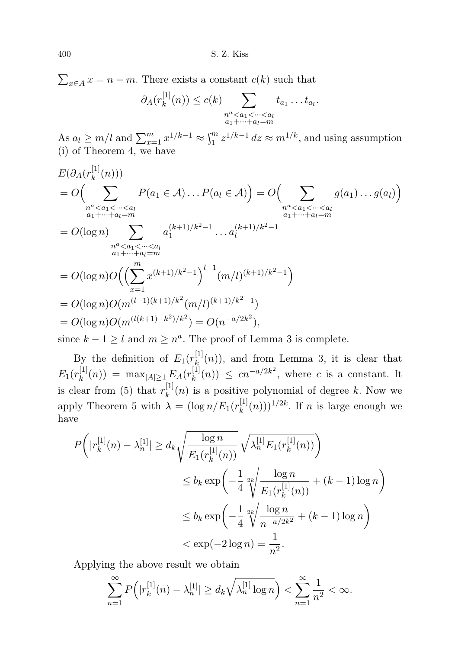$\sum_{x \in A} x = n - m$ . There exists a constant  $c(k)$  such that

$$
\partial_A(r_k^{[1]}(n)) \leq c(k) \sum_{\substack{n^a < a_1 < \dots < a_l \\ a_1 + \dots + a_l = m}} t_{a_1} \dots t_{a_l}.
$$

As  $a_l \geq m/l$  and  $\sum_{x=1}^m x^{1/k-1} \approx \int_1^m z^{1/k-1} dz \approx m^{1/k}$ , and using assumption (i) of Theorem 4, we have

$$
E(\partial_A(r_k^{[1]}(n)))
$$
  
=  $O\left(\sum_{\substack{n^a < a_1 < \dots < a_l \\ a_1 + \dots + a_l = m}} P(a_1 \in A) \dots P(a_l \in A)\right) = O\left(\sum_{\substack{n^a < a_1 < \dots < a_l \\ a_1 + \dots + a_l = m}} g(a_1) \dots g(a_l)\right)$   
=  $O(\log n) \sum_{\substack{n^a < a_1 < \dots < a_l \\ a_1 + \dots + a_l = m}} a_1^{(k+1)/k^2 - 1} \dots a_l^{(k+1)/k^2 - 1}$   
=  $O(\log n)O\left(\left(\sum_{x=1}^m x^{(k+1)/k^2 - 1}\right)^{l-1} (m/l)^{(k+1)/k^2 - 1}\right)$   
=  $O(\log n)O(m^{(l-1)(k+1)/k^2}(m/l)^{(k+1)/k^2 - 1})$   
=  $O(\log n)O(m^{l(k+1)-k^2)/k^2}) = O(n^{-a/2k^2}),$ 

since  $k - 1 \geq l$  and  $m \geq n^a$ . The proof of Lemma 3 is complete.

By the definition of  $E_1(r_k^{[1]}$  $\mathbf{k}_{k}^{[1]}(n)$ , and from Lemma 3, it is clear that  $E_1(r_k^{[1]}$  $\lim_{k}(n)) = \max_{|A| \geq 1} E_A(r_k^{[1]}).$  $\binom{[1]}{k}(n) \leq cn^{-a/2k^2}$ , where c is a constant. It is clear from (5) that  $r_k^{[1]}$  $\binom{[1]}{k}(n)$  is a positive polynomial of degree k. Now we apply Theorem 5 with  $\lambda = (\log n / E_1(r_k^{[1]})$  $\binom{[1]}{k}(n))^{1/2k}$ . If *n* is large enough we have

$$
P\left(|r_k^{[1]}(n) - \lambda_n^{[1]}| \ge d_k \sqrt{\frac{\log n}{E_1(r_k^{[1]}(n))}} \sqrt{\lambda_n^{[1]} E_1(r_k^{[1]}(n))}\right)
$$
  

$$
\le b_k \exp\left(-\frac{1}{4} \sqrt[2k]{\frac{\log n}{E_1(r_k^{[1]}(n))}} + (k-1)\log n\right)
$$
  

$$
\le b_k \exp\left(-\frac{1}{4} \sqrt[2k]{\frac{\log n}{n^{-a/2k^2}}} + (k-1)\log n\right)
$$
  

$$
< \exp(-2\log n) = \frac{1}{n^2}.
$$

Applying the above result we obtain

$$
\sum_{n=1}^{\infty} P(|r_k^{[1]}(n) - \lambda_n^{[1]}| \ge d_k \sqrt{\lambda_n^{[1]} \log n} \Big) < \sum_{n=1}^{\infty} \frac{1}{n^2} < \infty.
$$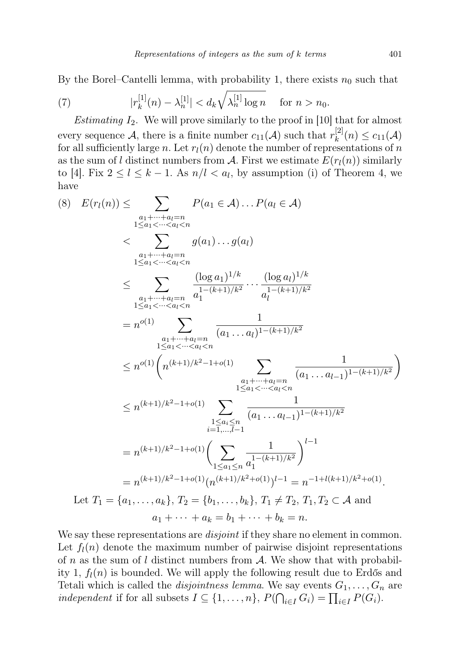By the Borel–Cantelli lemma, with probability 1, there exists  $n_0$  such that

(7) 
$$
|r_k^{[1]}(n) - \lambda_n^{[1]}| < d_k \sqrt{\lambda_n^{[1]} \log n} \quad \text{for } n > n_0.
$$

*Estimating*  $I_2$ . We will prove similarly to the proof in [10] that for almost every sequence A, there is a finite number  $c_{11}(\mathcal{A})$  such that  $r_k^{[2]}$  $c_{11}^{[2]}(n) \leq c_{11}(\mathcal{A})$ for all sufficiently large n. Let  $r_l(n)$  denote the number of representations of n as the sum of l distinct numbers from A. First we estimate  $E(r_l(n))$  similarly to [4]. Fix  $2 \leq l \leq k-1$ . As  $n/l < a_l$ , by assumption (i) of Theorem 4, we have

$$
(8) \quad E(r_l(n)) \leq \sum_{\substack{a_1 + \dots + a_l = n \\ 1 \leq a_1 < \dots < a_l < n}} P(a_1 \in \mathcal{A}) \dots P(a_l \in \mathcal{A})
$$
\n
$$
\leq \sum_{\substack{a_1 + \dots + a_l = n \\ 1 \leq a_1 < \dots < a_l < n}} g(a_1) \dots g(a_l)
$$
\n
$$
\leq \sum_{\substack{a_1 + \dots + a_l = n \\ 1 \leq a_1 < \dots < a_l < n}} \frac{(\log a_1)^{1/k}}{a_1^{1 - (k+1)/k^2}} \dots \frac{(\log a_l)^{1/k}}{a_l^{1 - (k+1)/k^2}}
$$
\n
$$
= n^{o(1)} \sum_{\substack{a_1 + \dots + a_l = n \\ 1 \leq a_1 < \dots < a_l < n}} \frac{1}{(a_1 \dots a_l)^{1 - (k+1)/k^2}}
$$
\n
$$
\leq n^{o(1)} \left( n^{(k+1)/k^2 - 1 + o(1)} \sum_{\substack{a_1 + \dots + a_l = n \\ 1 \leq a_l < \dots < a_l < n}} \frac{1}{(a_1 \dots a_{l-1})^{1 - (k+1)/k^2}} \right)
$$
\n
$$
\leq n^{(k+1)/k^2 - 1 + o(1)} \sum_{\substack{1 \leq a_i \leq n \\ i = 1, \dots, l-1}} \frac{1}{(a_1 \dots a_{l-1})^{1 - (k+1)/k^2}}
$$
\n
$$
= n^{(k+1)/k^2 - 1 + o(1)} \left( \sum_{1 \leq a_1 \leq n} \frac{1}{a_1^{1 - (k+1)/k^2}} \right)^{l-1}
$$
\n
$$
= n^{(k+1)/k^2 - 1 + o(1)} (n^{(k+1)/k^2 + o(1)})^{l-1} = n^{-1 + l(k+1)/k^2 + o(1)}.
$$
\nLet  $T_1 = \{a_1, \dots, a_k\}, T_2 = \{b_1, \dots, b_k\}, T_1 \neq T_2, T_1, T_2 \subset \mathcal{A}$  and  $a_1 + \dots + a_k$ 

We say these representations are *disjoint* if they share no element in common. Let  $f_l(n)$  denote the maximum number of pairwise disjoint representations of n as the sum of l distinct numbers from  $A$ . We show that with probability 1,  $f_l(n)$  is bounded. We will apply the following result due to Erdős and Tetali which is called the *disjointness lemma*. We say events  $G_1, \ldots, G_n$  are independent if for all subsets  $I \subseteq \{1, \ldots, n\}$ ,  $P(\bigcap_{i \in I} G_i) = \prod_{i \in I} P(G_i)$ .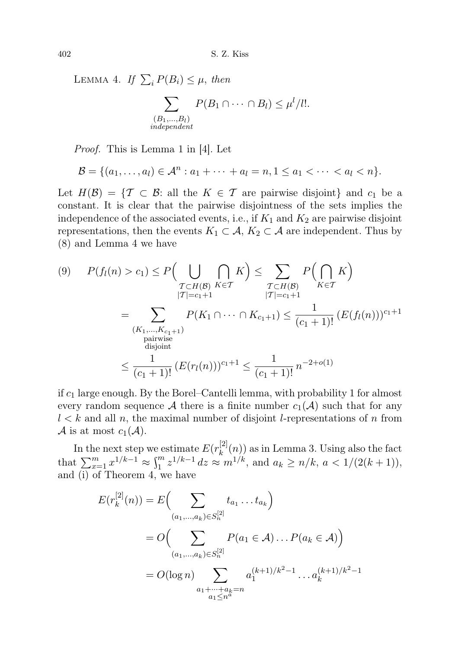LEMMA 4. If  $\sum_i P(B_i) \leq \mu$ , then

$$
\sum_{\substack{(B_1,\ldots,B_l) \\ independent}} P(B_1 \cap \cdots \cap B_l) \leq \mu^l / l!.
$$

Proof. This is Lemma 1 in [4]. Let

$$
\mathcal{B} = \{(a_1, \ldots, a_l) \in \mathcal{A}^n : a_1 + \cdots + a_l = n, 1 \leq a_1 < \cdots < a_l < n\}.
$$

Let  $H(\mathcal{B}) = \{ \mathcal{T} \subset \mathcal{B} : \text{ all the } K \in \mathcal{T} \text{ are pairwise disjoint} \}$  and  $c_1$  be a constant. It is clear that the pairwise disjointness of the sets implies the independence of the associated events, i.e., if  $K_1$  and  $K_2$  are pairwise disjoint representations, then the events  $K_1 \subset \mathcal{A}, K_2 \subset \mathcal{A}$  are independent. Thus by (8) and Lemma 4 we have

$$
(9) \quad P(f_l(n) > c_1) \le P\Big(\bigcup_{\substack{\mathcal{T} \subset H(\mathcal{B}) \\ |\mathcal{T}| = c_1 + 1}} \bigcap_{K \in \mathcal{T}} K\Big) \le \sum_{\substack{\mathcal{T} \subset H(\mathcal{B}) \\ |\mathcal{T}| = c_1 + 1}} P\Big(\bigcap_{K \in \mathcal{T}} K\Big)
$$
\n
$$
= \sum_{\substack{(K_1, \dots, K_{c_1 + 1}) \\ \text{pairwise} \\ \text{disjoint}}} P(K_1 \cap \dots \cap K_{c_1 + 1}) \le \frac{1}{(c_1 + 1)!} \left(E(f_l(n))\right)^{c_1 + 1}
$$
\n
$$
\le \frac{1}{(c_1 + 1)!} \left(E(r_l(n))\right)^{c_1 + 1} \le \frac{1}{(c_1 + 1)!} n^{-2 + o(1)}
$$

if  $c_1$  large enough. By the Borel–Cantelli lemma, with probability 1 for almost every random sequence A there is a finite number  $c_1(\mathcal{A})$  such that for any  $l < k$  and all n, the maximal number of disjoint l-representations of n from A is at most  $c_1(\mathcal{A})$ .

In the next step we estimate  $E(r_k^{[2]})$  $\binom{[2]}{k}(n)$  as in Lemma 3. Using also the fact that  $\sum_{x=1}^{m} x^{1/k-1} \approx \int_{1}^{m} z^{1/k-1} dz \approx m^{1/k}$ , and  $a_k \ge n/k$ ,  $a < 1/(2(k+1))$ , and (i) of Theorem 4, we have

$$
E(r_k^{[2]}(n)) = E\left(\sum_{(a_1,\dots,a_k)\in S_n^{[2]}} t_{a_1}\dots t_{a_k}\right)
$$
  
=  $O\left(\sum_{(a_1,\dots,a_k)\in S_n^{[2]}} P(a_1 \in \mathcal{A})\dots P(a_k \in \mathcal{A})\right)$   
=  $O(\log n) \sum_{\substack{a_1+\dots+a_k=n \ a_1\le n^a}} a_1^{(k+1)/k^2-1} \dots a_k^{(k+1)/k^2-1}$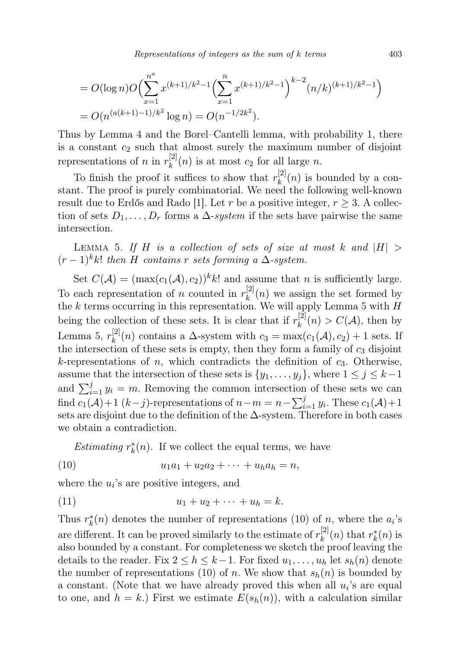Representations of integers as the sum of  $k$  terms  $403$ 

$$
= O(\log n)O\left(\sum_{x=1}^{n^a} x^{(k+1)/k^2 - 1} \left(\sum_{x=1}^n x^{(k+1)/k^2 - 1}\right)^{k-2} (n/k)^{(k+1)/k^2 - 1}\right)
$$
  
=  $O(n^{(a(k+1)-1)/k^2} \log n) = O(n^{-1/2k^2}).$ 

Thus by Lemma 4 and the Borel–Cantelli lemma, with probability 1, there is a constant  $c_2$  such that almost surely the maximum number of disjoint representations of *n* in  $r_k^{[2]}$  $\binom{[2]}{k}(n)$  is at most  $c_2$  for all large n.

To finish the proof it suffices to show that  $r_k^{[2]}$  $\binom{[2]}{k}(n)$  is bounded by a constant. The proof is purely combinatorial. We need the following well-known result due to Erdős and Rado [1]. Let r be a positive integer,  $r \geq 3$ . A collection of sets  $D_1, \ldots, D_r$  forms a  $\Delta$ -system if the sets have pairwise the same intersection.

LEMMA 5. If H is a collection of sets of size at most k and  $|H|$  >  $(r-1)^k k!$  then H contains r sets forming a  $\Delta$ -system.

Set  $C(\mathcal{A}) = (\max(c_1(\mathcal{A}), c_2))^{k} k!$  and assume that *n* is sufficiently large. To each representation of *n* counted in  $r_k^{[2]}$  $\binom{[2]}{k}(n)$  we assign the set formed by the k terms occurring in this representation. We will apply Lemma 5 with  $H$ being the collection of these sets. It is clear that if  $r_k^{[2]}$  $k^{[2]}(n) > C(\mathcal{A})$ , then by Lemma 5,  $r_k^{[2]}$  $\chi_k^{[2]}(n)$  contains a  $\Delta$ -system with  $c_3 = \max(c_1(\mathcal{A}), c_2) + 1$  sets. If the intersection of these sets is empty, then they form a family of  $c_3$  disjoint k-representations of n, which contradicts the definition of  $c_3$ . Otherwise, assume that the intersection of these sets is  $\{y_1, \ldots, y_j\}$ , where  $1 \le j \le k-1$ and  $\sum_{i=1}^{j} y_i = m$ . Removing the common intersection of these sets we can find  $c_1(\mathcal{A})+1$  ( $k-j$ )-representations of  $n-m=n-\sum_{i=1}^j y_i$ . These  $c_1(\mathcal{A})+1$ sets are disjoint due to the definition of the  $\Delta$ -system. Therefore in both cases we obtain a contradiction.

*Estimating*  $r_k^*(n)$ . If we collect the equal terms, we have

(10) 
$$
u_1a_1 + u_2a_2 + \cdots + u_ha_h = n,
$$

where the  $u_i$ 's are positive integers, and

(11) 
$$
u_1 + u_2 + \cdots + u_h = k.
$$

Thus  $r_k^*(n)$  denotes the number of representations (10) of n, where the  $a_i$ 's are different. It can be proved similarly to the estimate of  $r_k^{[2]}$  $\binom{[2]}{k}(n)$  that  $r_k^*(n)$  is also bounded by a constant. For completeness we sketch the proof leaving the details to the reader. Fix  $2 \leq h \leq k-1$ . For fixed  $u_1, \ldots, u_h$  let  $s_h(n)$  denote the number of representations (10) of n. We show that  $s_h(n)$  is bounded by a constant. (Note that we have already proved this when all  $u_i$ 's are equal to one, and  $h = k$ .) First we estimate  $E(s_h(n))$ , with a calculation similar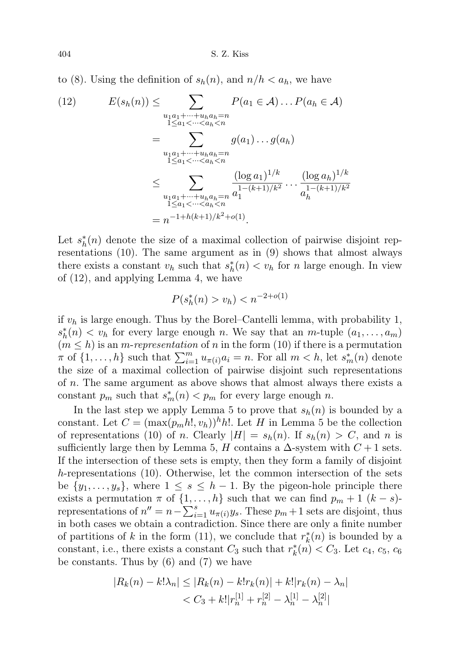to (8). Using the definition of  $s_h(n)$ , and  $n/h < a_h$ , we have

$$
(12) \qquad E(s_h(n)) \leq \sum_{\substack{u_1a_1 + \dots + u_h a_h = n \\ 1 \leq a_1 < \dots < a_h < n}} P(a_1 \in \mathcal{A}) \dots P(a_h \in \mathcal{A})
$$
\n
$$
= \sum_{\substack{u_1a_1 + \dots + u_h a_h = n \\ 1 \leq a_1 < \dots < a_h < n}} g(a_1) \dots g(a_h)
$$
\n
$$
\leq \sum_{\substack{u_1a_1 + \dots + u_h a_h = n \\ 1 \leq a_1 < \dots < a_h < n}} \frac{(\log a_1)^{1/k}}{a_1^{1 - (k+1)/k^2}} \dots \frac{(\log a_h)^{1/k}}{a_h^{1 - (k+1)/k^2}}
$$
\n
$$
= n^{-1 + h(k+1)/k^2 + o(1)}.
$$

Let  $s_h^*(n)$  denote the size of a maximal collection of pairwise disjoint representations (10). The same argument as in (9) shows that almost always there exists a constant  $v_h$  such that  $s_h^*(n) < v_h$  for n large enough. In view of (12), and applying Lemma 4, we have

$$
P(s_h^*(n) > v_h) < n^{-2+o(1)}
$$

if  $v_h$  is large enough. Thus by the Borel–Cantelli lemma, with probability 1,  $s_h^*(n) < v_h$  for every large enough n. We say that an m-tuple  $(a_1, \ldots, a_m)$  $(m \leq h)$  is an *m-representation* of *n* in the form (10) if there is a permutation  $\pi$  of  $\{1, \ldots, h\}$  such that  $\sum_{i=1}^{m} u_{\pi(i)} a_i = n$ . For all  $m < h$ , let  $s_m^*(n)$  denote the size of a maximal collection of pairwise disjoint such representations of n. The same argument as above shows that almost always there exists a constant  $p_m$  such that  $s_m^*(n) < p_m$  for every large enough n.

In the last step we apply Lemma 5 to prove that  $s_h(n)$  is bounded by a constant. Let  $C = (\max(p_m h!, v_h))^h h!$ . Let H in Lemma 5 be the collection of representations (10) of n. Clearly  $|H| = s<sub>h</sub>(n)$ . If  $s<sub>h</sub>(n) > C$ , and n is sufficiently large then by Lemma 5, H contains a  $\Delta$ -system with  $C+1$  sets. If the intersection of these sets is empty, then they form a family of disjoint h-representations (10). Otherwise, let the common intersection of the sets be  $\{y_1, \ldots, y_s\}$ , where  $1 \leq s \leq h-1$ . By the pigeon-hole principle there exists a permutation  $\pi$  of  $\{1, \ldots, h\}$  such that we can find  $p_m + 1$   $(k - s)$ representations of  $n'' = n - \sum_{i=1}^{s} u_{\pi(i)} y_s$ . These  $p_m + 1$  sets are disjoint, thus in both cases we obtain a contradiction. Since there are only a finite number of partitions of k in the form (11), we conclude that  $r_k^*(n)$  is bounded by a constant, i.e., there exists a constant  $C_3$  such that  $r_k^*(n) < C_3$ . Let  $c_4$ ,  $c_5$ ,  $c_6$ be constants. Thus by (6) and (7) we have

$$
|R_k(n) - k! \lambda_n| \le |R_k(n) - k! r_k(n)| + k! |r_k(n) - \lambda_n|
$$
  
<  $C_3 + k! |r_n^{[1]} + r_n^{[2]} - \lambda_n^{[1]} - \lambda_n^{[2]}|$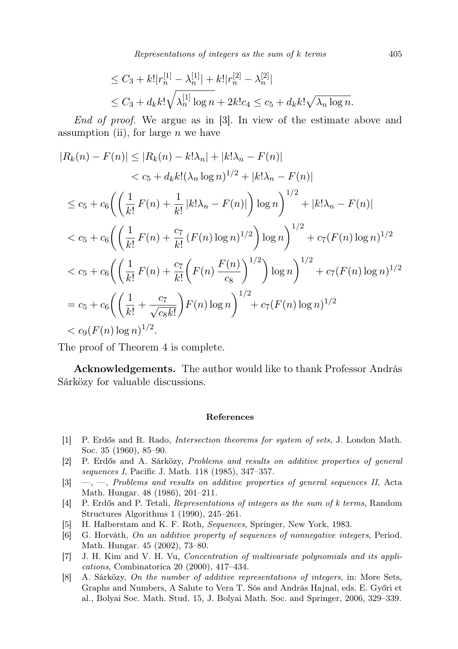Representations of integers as the sum of  $k$  terms  $405$ 

$$
\leq C_3 + k! |r_n^{[1]} - \lambda_n^{[1]}| + k! |r_n^{[2]} - \lambda_n^{[2]}|
$$
  

$$
\leq C_3 + d_k k! \sqrt{\lambda_n^{[1]} \log n} + 2k! c_4 \leq c_5 + d_k k! \sqrt{\lambda_n \log n}.
$$

End of proof. We argue as in [3]. In view of the estimate above and assumption (ii), for large  $n$  we have

$$
|R_k(n) - F(n)| \le |R_k(n) - k!\lambda_n| + |k!\lambda_n - F(n)|
$$
  

$$
< c_5 + d_k k! (\lambda_n \log n)^{1/2} + |k!\lambda_n - F(n)|
$$
  

$$
\le c_5 + c_6 \left( \left( \frac{1}{k!} F(n) + \frac{1}{k!} |k!\lambda_n - F(n)| \right) \log n \right)^{1/2} + |k!\lambda_n - F(n)|
$$
  

$$
< c_5 + c_6 \left( \left( \frac{1}{k!} F(n) + \frac{c_7}{k!} (F(n) \log n)^{1/2} \right) \log n \right)^{1/2} + c_7 (F(n) \log n)^{1/2}
$$
  

$$
< c_5 + c_6 \left( \left( \frac{1}{k!} F(n) + \frac{c_7}{k!} \left( F(n) \frac{F(n)}{c_8} \right)^{1/2} \right) \log n \right)^{1/2} + c_7 (F(n) \log n)^{1/2}
$$
  

$$
= c_5 + c_6 \left( \left( \frac{1}{k!} + \frac{c_7}{\sqrt{c_8 k!}} \right) F(n) \log n \right)^{1/2} + c_7 (F(n) \log n)^{1/2}
$$
  

$$
< c_9 (F(n) \log n)^{1/2}.
$$

The proof of Theorem 4 is complete.

Acknowledgements. The author would like to thank Professor András Sárközy for valuable discussions.

## References

- [1] P. Erdős and R. Rado, Intersection theorems for system of sets, J. London Math. Soc. 35 (1960), 85–90.
- [2] P. Erdős and A. Sárközy, Problems and results on additive properties of general sequences I, Pacific J. Math. 118 (1985), 347–357.
- $[3] \quad -$ , Problems and results on additive properties of general sequences II, Acta Math. Hungar. 48 (1986), 201–211.
- [4] P. Erdős and P. Tetali, Representations of integers as the sum of k terms, Random Structures Algorithms 1 (1990), 245–261.
- [5] H. Halberstam and K. F. Roth, Sequences, Springer, New York, 1983.
- [6] G. Horváth, On an additive property of sequences of nonnegative integers, Period. Math. Hungar. 45 (2002), 73–80.
- [7] J. H. Kim and V. H. Vu, Concentration of multivariate polynomials and its applications, Combinatorica 20 (2000), 417–434.
- [8] A. Sárközy, On the number of additive representations of integers, in: More Sets, Graphs and Numbers, A Salute to Vera T. Sós and András Hajnal, eds. E. Győri et al., Bolyai Soc. Math. Stud. 15, J. Bolyai Math. Soc. and Springer, 2006, 329–339.